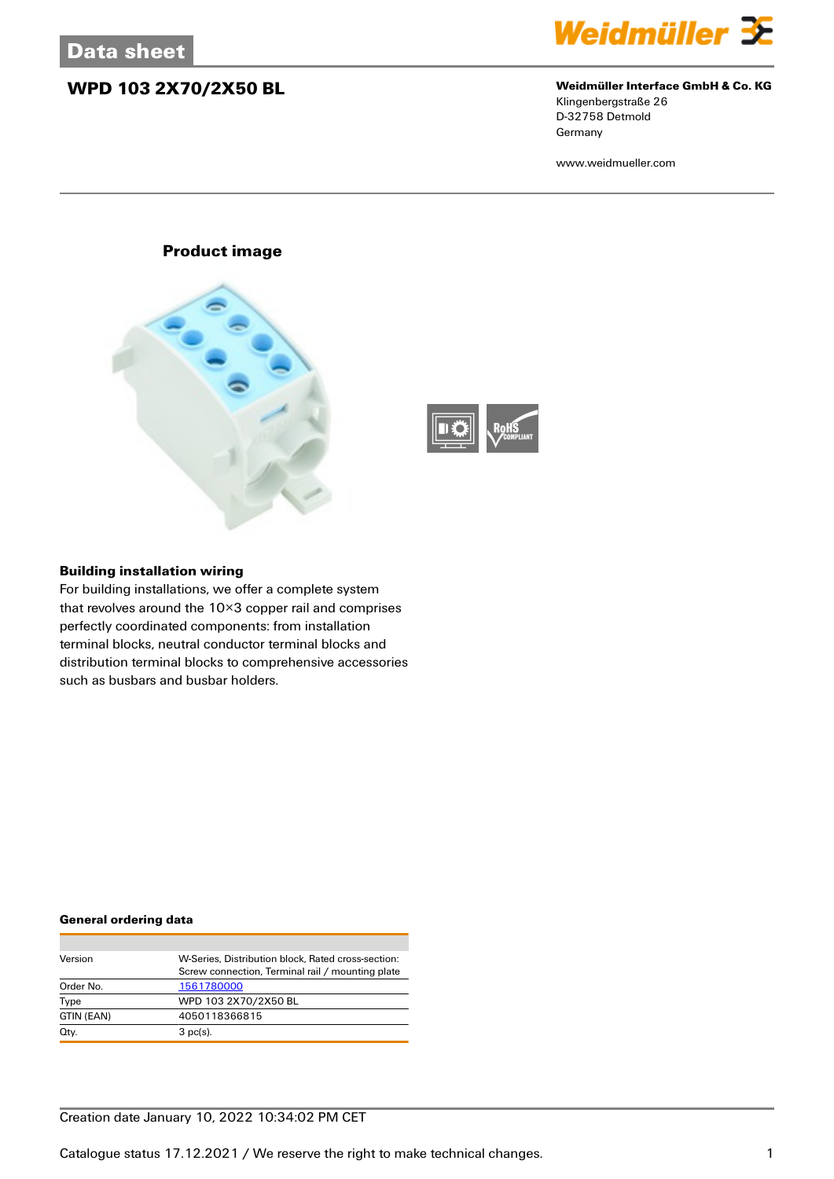### **WPD 103 2X70/2X50 BL Weidmüller Interface GmbH & Co. KG**



# Klingenbergstraße 26

D-32758 Detmold **Germany** 

www.weidmueller.com

### **Product image**





### **Building installation wiring**

For building installations, we offer a complete system that revolves around the 10×3 copper rail and comprises perfectly coordinated components: from installation terminal blocks, neutral conductor terminal blocks and distribution terminal blocks to comprehensive accessories such as busbars and busbar holders.

#### **General ordering data**

| Version    | W-Series. Distribution block. Rated cross-section: |
|------------|----------------------------------------------------|
|            | Screw connection, Terminal rail / mounting plate   |
| Order No.  | 1561780000                                         |
| Type       | WPD 103 2X70/2X50 BL                               |
| GTIN (EAN) | 4050118366815                                      |
| Qty.       | $3$ pc(s).                                         |

### Creation date January 10, 2022 10:34:02 PM CET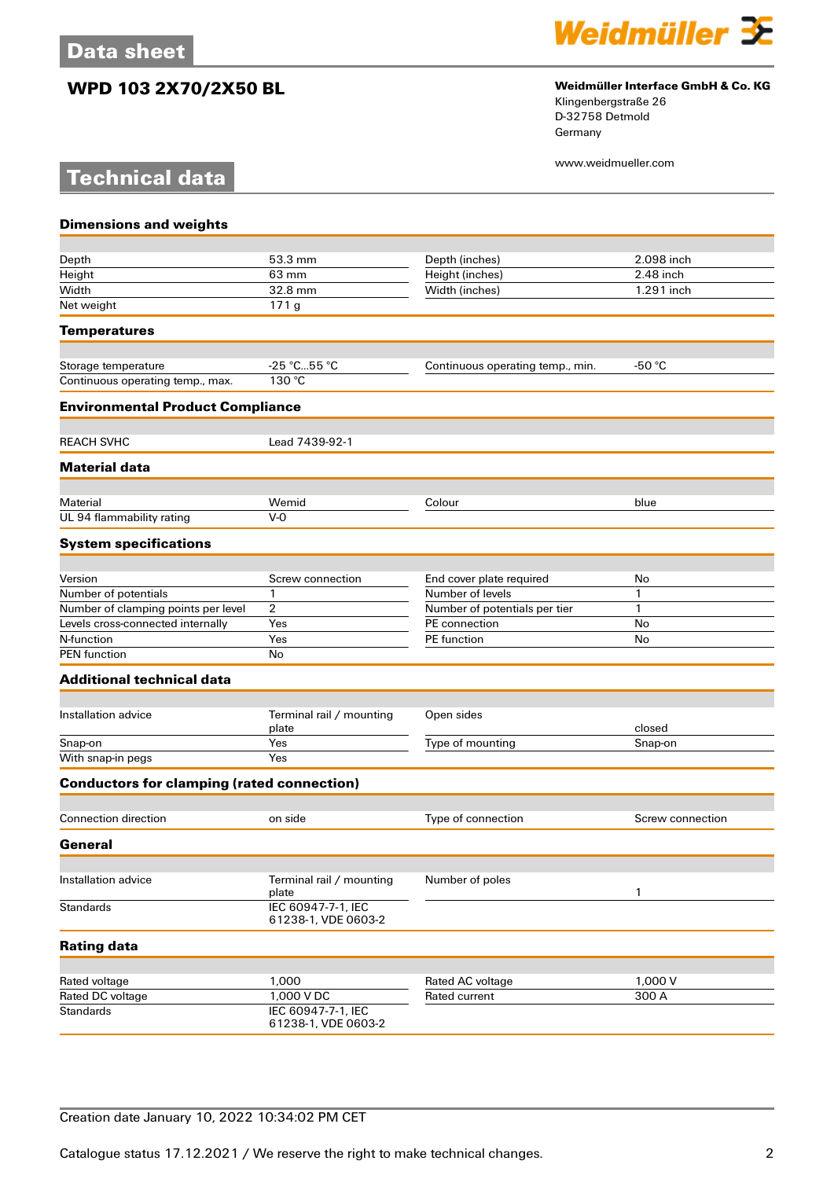**Technical data**



## **WPD 103 2X70/2X50 BL Weidmüller Interface GmbH & Co. KG**

Klingenbergstraße 26 D-32758 Detmold Germany

www.weidmueller.com

| <b>Dimensions and weights</b>                     |                                           |                                  |                  |
|---------------------------------------------------|-------------------------------------------|----------------------------------|------------------|
| Depth                                             | 53.3 mm                                   | Depth (inches)                   | 2.098 inch       |
| Height                                            | 63 mm                                     | Height (inches)                  | 2.48 inch        |
| Width                                             | 32.8 mm                                   | Width (inches)                   | 1.291 inch       |
| Net weight                                        | 171g                                      |                                  |                  |
|                                                   |                                           |                                  |                  |
| <b>Temperatures</b>                               |                                           |                                  |                  |
| Storage temperature                               | -25 °C55 °C                               | Continuous operating temp., min. | -50 $°C$         |
| Continuous operating temp., max.                  | 130 °C                                    |                                  |                  |
| <b>Environmental Product Compliance</b>           |                                           |                                  |                  |
| <b>REACH SVHC</b>                                 | Lead 7439-92-1                            |                                  |                  |
| <b>Material data</b>                              |                                           |                                  |                  |
|                                                   |                                           |                                  |                  |
| Material                                          | Wemid                                     | Colour                           | blue             |
| UL 94 flammability rating                         | $V-0$                                     |                                  |                  |
| <b>System specifications</b>                      |                                           |                                  |                  |
| Version                                           | Screw connection                          | End cover plate required         | No               |
| Number of potentials                              | 1                                         | Number of levels                 | 1                |
| Number of clamping points per level               | 2                                         | Number of potentials per tier    | 1                |
| Levels cross-connected internally                 | Yes                                       | PE connection                    | No               |
| N-function                                        | Yes                                       | PE function                      | No               |
| <b>PEN</b> function                               | No                                        |                                  |                  |
| <b>Additional technical data</b>                  |                                           |                                  |                  |
|                                                   |                                           |                                  |                  |
| Installation advice                               | Terminal rail / mounting<br>plate         | Open sides                       | closed           |
| Snap-on                                           | Yes                                       | Type of mounting                 | Snap-on          |
| With snap-in pegs                                 | Yes                                       |                                  |                  |
| <b>Conductors for clamping (rated connection)</b> |                                           |                                  |                  |
| <b>Connection direction</b>                       | on side                                   | Type of connection               | Screw connection |
| General                                           |                                           |                                  |                  |
|                                                   |                                           |                                  |                  |
| Installation advice                               | Terminal rail / mounting<br>plate         | Number of poles                  | 1                |
| <b>Standards</b>                                  | IEC 60947-7-1, IEC<br>61238-1, VDE 0603-2 |                                  |                  |
| <b>Rating data</b>                                |                                           |                                  |                  |
|                                                   |                                           |                                  |                  |
| Rated voltage                                     | 1,000                                     | Rated AC voltage                 | 1,000 V          |
| Rated DC voltage                                  | $1,000$ V DC                              | Rated current                    | 300 A            |
| <b>Standards</b>                                  | IEC 60947-7-1, IEC<br>61238-1, VDE 0603-2 |                                  |                  |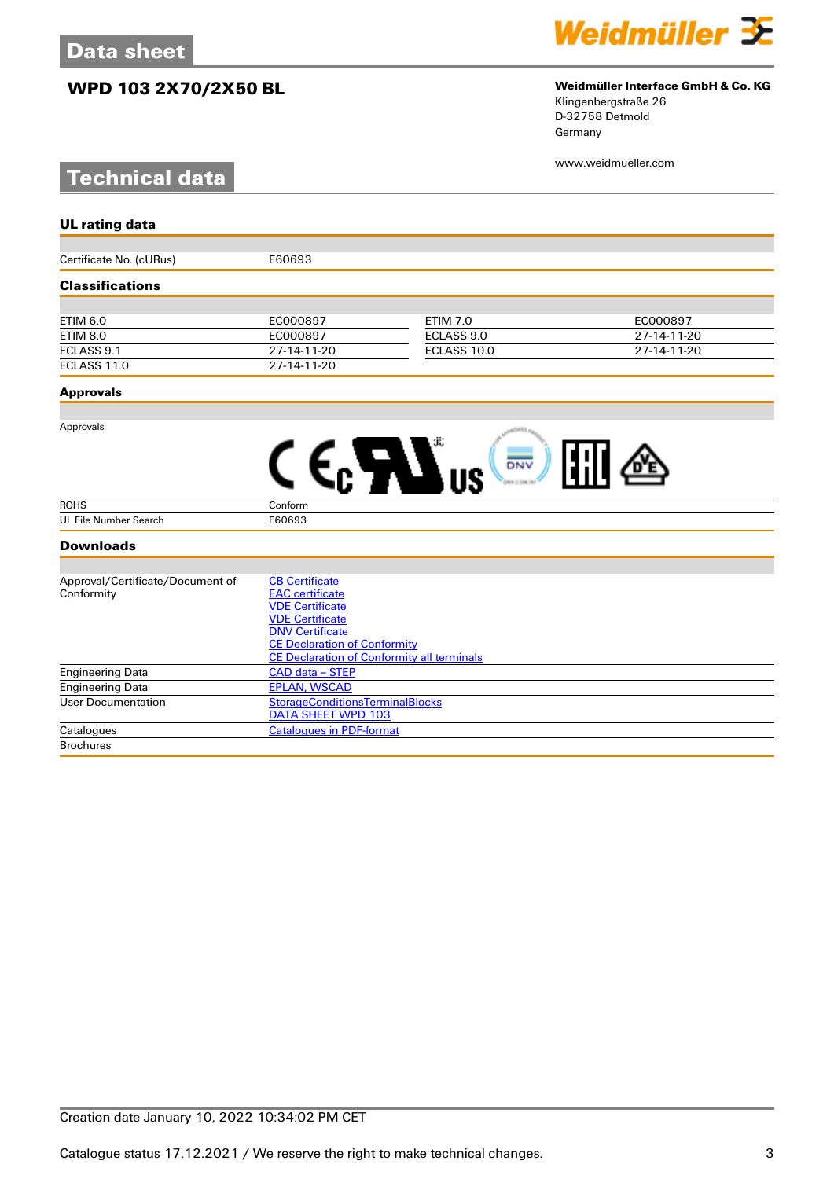## **WPD 103 2X70/2X50 BL Weidmüller Interface GmbH & Co. KG**

# **Technical data**



# Klingenbergstraße 26

D-32758 Detmold Germany

www.weidmueller.com

| <b>UL rating data</b>            |                                                               |                 |             |
|----------------------------------|---------------------------------------------------------------|-----------------|-------------|
|                                  |                                                               |                 |             |
| Certificate No. (cURus)          | E60693                                                        |                 |             |
| <b>Classifications</b>           |                                                               |                 |             |
|                                  |                                                               |                 |             |
| <b>ETIM 6.0</b>                  | EC000897                                                      | <b>ETIM 7.0</b> | EC000897    |
| <b>ETIM 8.0</b>                  | EC000897                                                      | ECLASS 9.0      | 27-14-11-20 |
| ECLASS 9.1                       | 27-14-11-20                                                   | ECLASS 10.0     | 27-14-11-20 |
| ECLASS 11.0                      | 27-14-11-20                                                   |                 |             |
| <b>Approvals</b>                 |                                                               |                 |             |
|                                  |                                                               |                 |             |
| Approvals                        |                                                               |                 |             |
|                                  |                                                               | DNV             |             |
|                                  |                                                               |                 |             |
| <b>ROHS</b>                      | Conform                                                       |                 |             |
| UL File Number Search            | E60693                                                        |                 |             |
| <b>Downloads</b>                 |                                                               |                 |             |
|                                  |                                                               |                 |             |
| Approval/Certificate/Document of | <b>CB Certificate</b>                                         |                 |             |
| Conformity                       | <b>EAC</b> certificate                                        |                 |             |
|                                  | <b>VDE Certificate</b>                                        |                 |             |
|                                  | <b>VDE Certificate</b>                                        |                 |             |
|                                  | <b>DNV Certificate</b><br><b>CE Declaration of Conformity</b> |                 |             |
|                                  | <b>CE Declaration of Conformity all terminals</b>             |                 |             |
| <b>Engineering Data</b>          | CAD data - STEP                                               |                 |             |
| <b>Engineering Data</b>          | <b>EPLAN, WSCAD</b>                                           |                 |             |
| <b>User Documentation</b>        | <b>StorageConditionsTerminalBlocks</b>                        |                 |             |
|                                  | <b>DATA SHEET WPD 103</b>                                     |                 |             |

Catalogues [Catalogues in PDF-format](http://catalog.weidmueller.com/assets/LINK/Catalog.html)

**Brochures**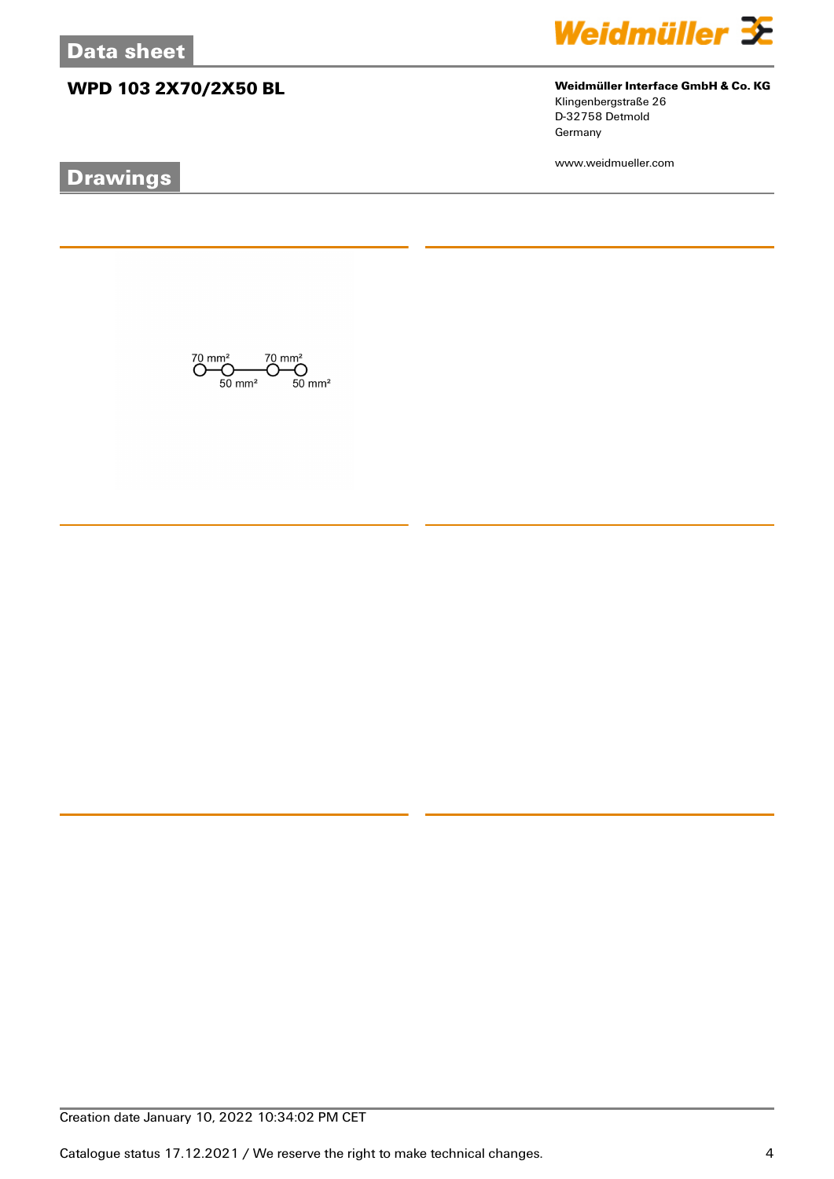# **WPD 103 2X70/2X50 BL Weidmüller Interface GmbH & Co. KG**

# **Drawings**



Klingenbergstraße 26 D-32758 Detmold Germany

www.weidmueller.com

 $\overline{\text{O}}_{50 \text{ mm}^2}^{\text{70 mm}^2} \overline{\text{O}}_{50 \text{ mm}^2}^{\text{70 mm}^2} \overline{\text{O}}_{50 \text{ mm}^2}^{\text{70 mm}^2}$ 

Creation date January 10, 2022 10:34:02 PM CET

Catalogue status 17.12.2021 / We reserve the right to make technical changes. 4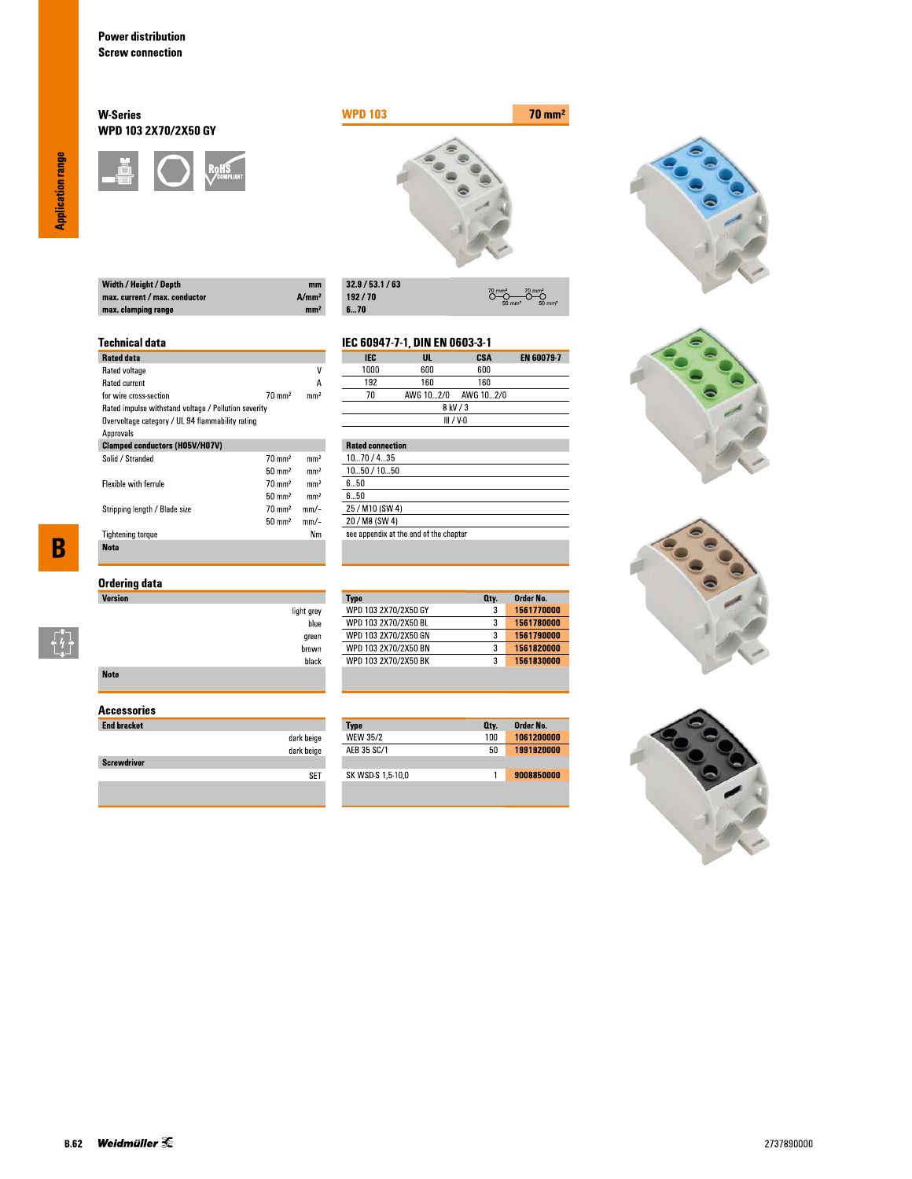### **W-Series** WPD 103 2X70/2X50 GY





 $\overline{\overset{70}{\bigcirc}}$ 

**CSA**<br>600

 $O \rightarrow O$ 

EN 60079-7

| Width / Height / Depth        | mm                |
|-------------------------------|-------------------|
| max. current / max. conductor | A/mm <sup>2</sup> |
| max. clamping range           | mm <sup>2</sup>   |

| 32.9/53.1/63 |
|--------------|
| 192/70       |
| 670          |

IEC

 $1000$ 

light grey blue

green  $brown$ black IEC 60947-7-1, DIN EN 0603-3-1

 $\frac{UL}{600}$ 

### **Technical data**

| <b>Rated data</b>                                    |                   |                 |
|------------------------------------------------------|-------------------|-----------------|
| Rated voltage                                        |                   | ٧               |
| <b>Rated current</b>                                 |                   | А               |
| for wire cross-section                               | $70 \text{ mm}^2$ | mm <sup>2</sup> |
| Rated impulse withstand voltage / Pollution severity |                   |                 |
| Overvoltage category / UL 94 flammability rating     |                   |                 |
| Approvals                                            |                   |                 |
| <b>Clamped conductors (H05V/H07V)</b>                |                   |                 |
| Solid / Stranded                                     | $70 \text{ mm}^2$ | mm <sup>2</sup> |
|                                                      | $50 \text{ mm}^2$ | mm <sup>2</sup> |
| <b>Flexible with ferrule</b>                         | $70 \text{ mm}^2$ | mm <sup>2</sup> |
|                                                      | $50 \text{ mm}^2$ | mm <sup>2</sup> |
| Stripping length / Blade size                        | $70 \text{ mm}^2$ | mm/-            |
|                                                      | $50 \text{ mm}^2$ | mm/-            |
| <b>Tightening torque</b>                             |                   | Nm              |
| <b>Note</b>                                          |                   |                 |

 $\overline{\mathbf{B}}$ 

 $\begin{bmatrix} 1 \\ 1 \\ 1 \end{bmatrix}$ 

| Ordering data |  |
|---------------|--|
| Version       |  |

| <b>Note</b> |  |  |  |
|-------------|--|--|--|

### **Accessories**

| <b>End bracket</b> |            |
|--------------------|------------|
|                    | dark beige |
|                    | dark beige |
| <b>Screwdriver</b> |            |
|                    |            |
|                    |            |

| 192                     | 160       | 160         |  |
|-------------------------|-----------|-------------|--|
| 7Π                      | AWG 102/0 | AWG 10…2/0  |  |
|                         |           | 8 kV / 3    |  |
|                         |           | $III / V-0$ |  |
|                         |           |             |  |
| <b>Rated connection</b> |           |             |  |
|                         |           |             |  |

| 1070/435                               |
|----------------------------------------|
| 1050 / 1050                            |
| 650                                    |
| 6 5Ո                                   |
| 25 / M10 (SW 4)                        |
| 20 / M8 (SW 4)                         |
| see appendix at the end of the chapter |
|                                        |

| 3<br>3 | 1561770000 |
|--------|------------|
|        |            |
|        | 1561780000 |
| 3      | 1561790000 |
| 3      | 1561820000 |
| 3      | 1561830000 |
|        |            |

| <b>Type</b>       | Oty. | Order No.  |
|-------------------|------|------------|
| <b>WEW 35/2</b>   | 100  | 1061200000 |
| AFB 35 SC/1       | 50   | 1991920000 |
|                   |      |            |
| SK WSD-S 1,5-10,0 |      | 9008850000 |